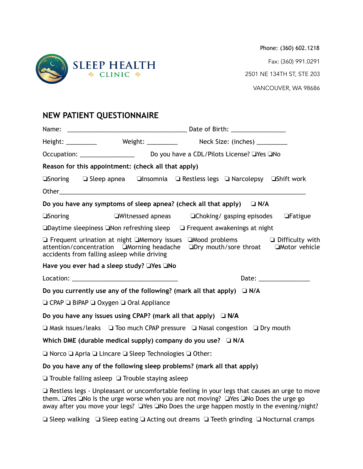

Phone: (360) 602.1218 Fax: (360) 991.0291 2501 NE 134TH ST, STE 203 VANCOUVER, WA 98686

# **NEW PATIENT QUESTIONNAIRE**

|                                                                                                 | Reason for this appointment: (check all that apply)                              |                                                                                                                                                                                            |  |  |
|-------------------------------------------------------------------------------------------------|----------------------------------------------------------------------------------|--------------------------------------------------------------------------------------------------------------------------------------------------------------------------------------------|--|--|
|                                                                                                 |                                                                                  | <b>□Snoring</b> □ Sleep apnea □ Insomnia □ Restless legs □ Narcolepsy □ Shift work                                                                                                         |  |  |
|                                                                                                 |                                                                                  |                                                                                                                                                                                            |  |  |
|                                                                                                 |                                                                                  | Do you have any symptoms of sleep apnea? (check all that apply) $\Box$ N/A                                                                                                                 |  |  |
| <b>Snoring</b>                                                                                  |                                                                                  | $\square$ Witnessed apneas $\square$ Choking/gasping episodes $\square$ Fatigue                                                                                                            |  |  |
|                                                                                                 |                                                                                  | $\square$ Daytime sleepiness $\square$ Non refreshing sleep $\square$ Frequent awakenings at night                                                                                         |  |  |
|                                                                                                 | accidents from falling asleep while driving                                      | $\Box$ Frequent urination at night $\Box$ Memory issues $\Box$ Mood problems $\Box$ Difficulty with<br>attention/concentration □Morning headache □Dry mouth/sore throat □Motor vehicle     |  |  |
|                                                                                                 | Have you ever had a sleep study? □Yes □No                                        |                                                                                                                                                                                            |  |  |
|                                                                                                 |                                                                                  | Date: $\frac{1}{2}$                                                                                                                                                                        |  |  |
|                                                                                                 |                                                                                  | Do you currently use any of the following? (mark all that apply) $\Box$ N/A                                                                                                                |  |  |
|                                                                                                 | $\Box$ CPAP $\Box$ BiPAP $\Box$ Oxygen $\Box$ Oral Appliance                     |                                                                                                                                                                                            |  |  |
|                                                                                                 | Do you have any issues using CPAP? (mark all that apply) $\Box$ N/A              |                                                                                                                                                                                            |  |  |
| $\Box$ Mask issues/leaks $\Box$ Too much CPAP pressure $\Box$ Nasal congestion $\Box$ Dry mouth |                                                                                  |                                                                                                                                                                                            |  |  |
|                                                                                                 | Which DME (durable medical supply) company do you use? $\Box$ N/A                |                                                                                                                                                                                            |  |  |
|                                                                                                 | $\Box$ Norco $\Box$ Apria $\Box$ Lincare $\Box$ Sleep Technologies $\Box$ Other: |                                                                                                                                                                                            |  |  |
|                                                                                                 |                                                                                  | Do you have any of the following sleep problems? (mark all that apply)                                                                                                                     |  |  |
|                                                                                                 | $\Box$ Trouble falling asleep $\Box$ Trouble staying asleep                      |                                                                                                                                                                                            |  |  |
|                                                                                                 |                                                                                  | $\Box$ Restless legs - Unpleasant or uncomfortable feeling in your legs that causes an urge to move<br>them. Thes Tho Is the urge worse when you are not moving? Thes Tho Does the urge go |  |  |

away after you move your legs? ❏Yes ❏No Does the urge happen mostly in the evening/night?

❏ Sleep walking ❏ Sleep eating ❏ Acting out dreams ❏ Teeth grinding ❏ Nocturnal cramps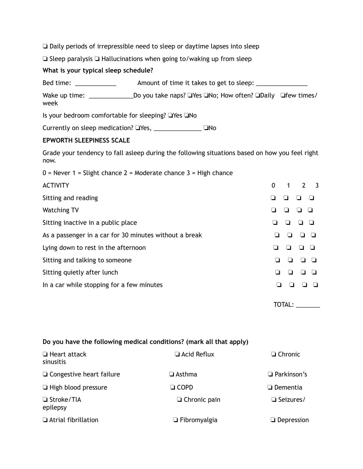❏ Daily periods of irrepressible need to sleep or daytime lapses into sleep

❏ Sleep paralysis ❏ Hallucinations when going to/waking up from sleep

### **What is your typical sleep schedule?**

Bed time: \_\_\_\_\_\_\_\_\_\_\_\_\_\_\_\_ Amount of time it takes to get to sleep: \_\_\_\_\_\_\_\_\_\_\_\_

Wake up time: \_\_\_\_\_\_\_\_\_\_\_\_\_\_\_\_\_\_\_Do you take naps? ❑Yes ❑No; How often? ❑Daily □few times/ week

Is your bedroom comfortable for sleeping? ❏Yes ❏No

Currently on sleep medication? ❏Yes, \_\_\_\_\_\_\_\_\_\_\_\_\_\_ ❏No

## **EPWORTH SLEEPINESS SCALE**

Grade your tendency to fall asleep during the following situations based on how you feel right now.

 $0 =$  Never 1 = Slight chance 2 = Moderate chance 3 = High chance

| <b>ACTIVITY</b>                                        | 2 <sup>3</sup><br>0<br>1 |
|--------------------------------------------------------|--------------------------|
| Sitting and reading                                    |                          |
| <b>Watching TV</b>                                     |                          |
| Sitting inactive in a public place                     |                          |
| As a passenger in a car for 30 minutes without a break |                          |
| Lying down to rest in the afternoon                    | ப                        |
| Sitting and talking to someone                         |                          |
| Sitting quietly after lunch                            |                          |
| In a car while stopping for a few minutes              |                          |
|                                                        |                          |

TOTAL: \_\_\_\_\_\_\_

#### **Do you have the following medical conditions? (mark all that apply)**

| $\Box$ Heart attack<br>sinusitis | $\Box$ Acid Reflux  | $\Box$ Chronic     |
|----------------------------------|---------------------|--------------------|
| $\Box$ Congestive heart failure  | $\Box$ Asthma       | $\Box$ Parkinson's |
| $\Box$ High blood pressure       | $\Box$ COPD         | $\Box$ Dementia    |
| □ Stroke/TIA<br>epilepsy         | $\Box$ Chronic pain | $\Box$ Seizures/   |
| □ Atrial fibrillation            | $\Box$ Fibromyalgia | $\Box$ Depression  |